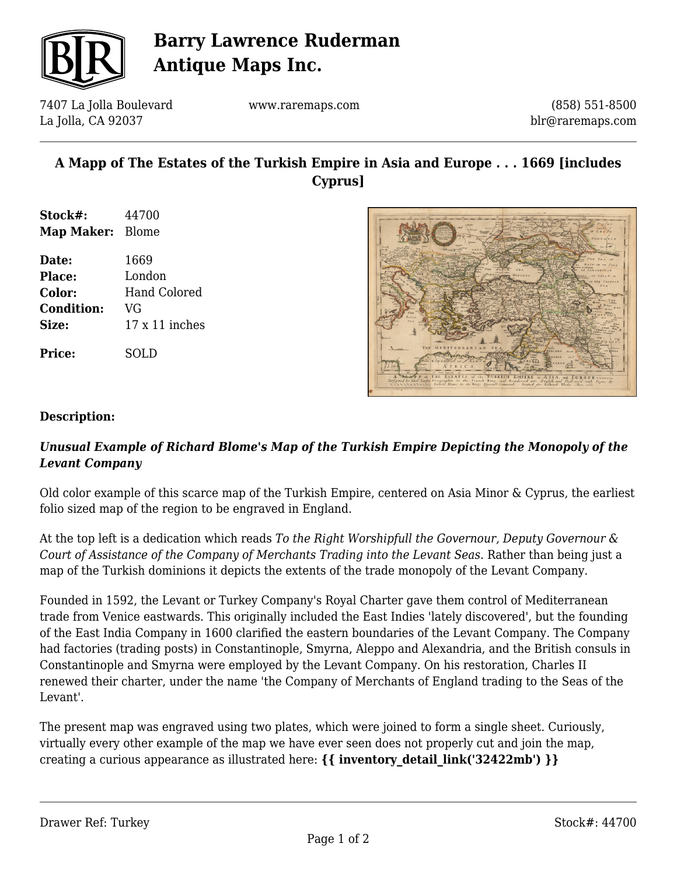

# **Barry Lawrence Ruderman Antique Maps Inc.**

7407 La Jolla Boulevard La Jolla, CA 92037

www.raremaps.com

(858) 551-8500 blr@raremaps.com

## **A Mapp of The Estates of the Turkish Empire in Asia and Europe . . . 1669 [includes Cyprus]**

- **Stock#:** 44700 **Map Maker:** Blome
- **Date:** 1669 **Place:** London **Color:** Hand Colored **Condition:** VG **Size:** 17 x 11 inches

**Price:** SOLD



### **Description:**

### *Unusual Example of Richard Blome's Map of the Turkish Empire Depicting the Monopoly of the Levant Company*

Old color example of this scarce map of the Turkish Empire, centered on Asia Minor & Cyprus, the earliest folio sized map of the region to be engraved in England.

At the top left is a dedication which reads *To the Right Worshipfull the Governour, Deputy Governour & Court of Assistance of the Company of Merchants Trading into the Levant Seas*. Rather than being just a map of the Turkish dominions it depicts the extents of the trade monopoly of the Levant Company.

Founded in 1592, the Levant or Turkey Company's Royal Charter gave them control of Mediterranean trade from Venice eastwards. This originally included the East Indies 'lately discovered', but the founding of the East India Company in 1600 clarified the eastern boundaries of the Levant Company. The Company had factories (trading posts) in Constantinople, Smyrna, Aleppo and Alexandria, and the British consuls in Constantinople and Smyrna were employed by the Levant Company. On his restoration, Charles II renewed their charter, under the name 'the Company of Merchants of England trading to the Seas of the Levant'.

The present map was engraved using two plates, which were joined to form a single sheet. Curiously, virtually every other example of the map we have ever seen does not properly cut and join the map, creating a curious appearance as illustrated here: **{{ inventory\_detail\_link('32422mb') }}**